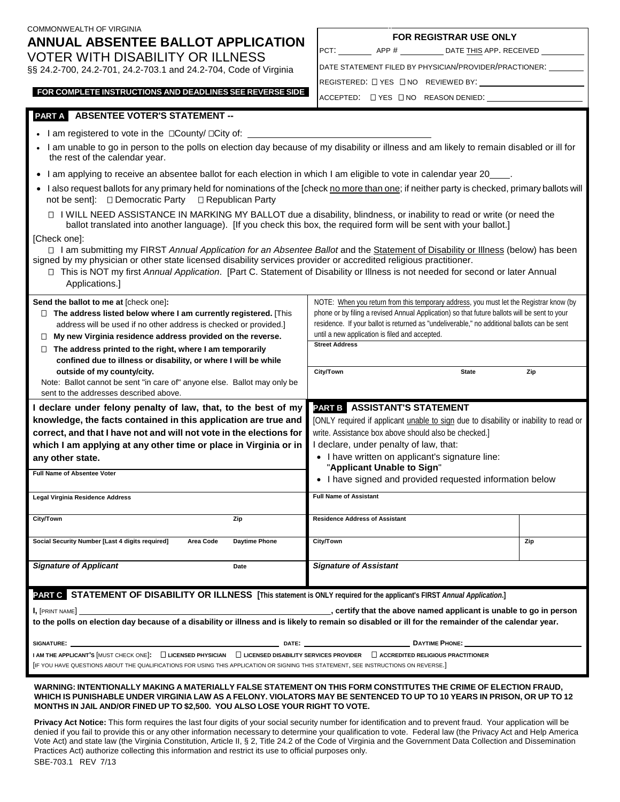| COMMONWEALTH OF VIRGINIA<br>ANNUAL ABSENTEE BALLOT APPLICATION                                                                                                                                                                                      | <b>FOR REGISTRAR USE ONLY</b>                                                                                                                                                               |  |
|-----------------------------------------------------------------------------------------------------------------------------------------------------------------------------------------------------------------------------------------------------|---------------------------------------------------------------------------------------------------------------------------------------------------------------------------------------------|--|
|                                                                                                                                                                                                                                                     | PCT: _____________ APP # ______________ DATE THIS APP. RECEIVED ___________                                                                                                                 |  |
| <b>VOTER WITH DISABILITY OR ILLNESS</b><br>§§ 24.2-700, 24.2-701, 24.2-703.1 and 24.2-704, Code of Virginia                                                                                                                                         | DATE STATEMENT FILED BY PHYSICIAN/PROVIDER/PRACTIONER:                                                                                                                                      |  |
|                                                                                                                                                                                                                                                     | REGISTERED: [] YES [] NO REVIEWED BY: [[1] THE REGISTERED: [2] YES [] NO REVIEWED BY:                                                                                                       |  |
| FOR COMPLETE INSTRUCTIONS AND DEADLINES SEE REVERSE SIDE                                                                                                                                                                                            | ACCEPTED: UYES UNO REASON DENIED: UNICONDENTED:                                                                                                                                             |  |
| PART A ABSENTEE VOTER'S STATEMENT --                                                                                                                                                                                                                |                                                                                                                                                                                             |  |
| • I am registered to vote in the $\Box$ County/ $\Box$ City of: ________________________                                                                                                                                                            |                                                                                                                                                                                             |  |
| I am unable to go in person to the polls on election day because of my disability or illness and am likely to remain disabled or ill for<br>the rest of the calendar year.                                                                          |                                                                                                                                                                                             |  |
| • I am applying to receive an absentee ballot for each election in which I am eligible to vote in calendar year 20____.                                                                                                                             |                                                                                                                                                                                             |  |
| I also request ballots for any primary held for nominations of the [check no more than one; if neither party is checked, primary ballots will<br>not be sent]: □ Democratic Party □ Republican Party                                                |                                                                                                                                                                                             |  |
| I WILL NEED ASSISTANCE IN MARKING MY BALLOT due a disability, blindness, or inability to read or write (or need the<br>ballot translated into another language). [If you check this box, the required form will be sent with your ballot.]          |                                                                                                                                                                                             |  |
| [Check one]:                                                                                                                                                                                                                                        |                                                                                                                                                                                             |  |
| I am submitting my FIRST Annual Application for an Absentee Ballot and the Statement of Disability or Illness (below) has been<br>signed by my physician or other state licensed disability services provider or accredited religious practitioner. |                                                                                                                                                                                             |  |
| This is NOT my first Annual Application. [Part C. Statement of Disability or Illness is not needed for second or later Annual                                                                                                                       |                                                                                                                                                                                             |  |
| Applications.]                                                                                                                                                                                                                                      |                                                                                                                                                                                             |  |
| Send the ballot to me at [check one]:                                                                                                                                                                                                               | NOTE: When you return from this temporary address, you must let the Registrar know (by                                                                                                      |  |
| $\Box$ The address listed below where I am currently registered. [This<br>address will be used if no other address is checked or provided.]                                                                                                         | phone or by filing a revised Annual Application) so that future ballots will be sent to your<br>residence. If your ballot is returned as "undeliverable," no additional ballots can be sent |  |
| $\Box$ My new Virginia residence address provided on the reverse.                                                                                                                                                                                   | until a new application is filed and accepted.                                                                                                                                              |  |
| $\Box$ The address printed to the right, where I am temporarily                                                                                                                                                                                     | <b>Street Address</b>                                                                                                                                                                       |  |
| confined due to illness or disability, or where I will be while                                                                                                                                                                                     | City/Town<br><b>State</b><br>Zip                                                                                                                                                            |  |
| outside of my county/city.<br>Note: Ballot cannot be sent "in care of" anyone else. Ballot may only be                                                                                                                                              |                                                                                                                                                                                             |  |
| sent to the addresses described above.                                                                                                                                                                                                              |                                                                                                                                                                                             |  |
| I declare under felony penalty of law, that, to the best of my                                                                                                                                                                                      | PART B ASSISTANT'S STATEMENT                                                                                                                                                                |  |
| knowledge, the facts contained in this application are true and                                                                                                                                                                                     | [ONLY required if applicant <i>unable to sign</i> due to disability or inability to read or                                                                                                 |  |
| correct, and that I have not and will not vote in the elections for<br>which I am applying at any other time or place in Virginia or in                                                                                                             | write. Assistance box above should also be checked.]<br>I declare, under penalty of law, that:                                                                                              |  |
| any other state.                                                                                                                                                                                                                                    | • I have written on applicant's signature line:                                                                                                                                             |  |
| Full Name of Absentee Voter                                                                                                                                                                                                                         | "Applicant Unable to Sign"                                                                                                                                                                  |  |
|                                                                                                                                                                                                                                                     | • I have signed and provided requested information below                                                                                                                                    |  |
| Legal Virginia Residence Address                                                                                                                                                                                                                    | <b>Full Name of Assistant</b>                                                                                                                                                               |  |
| City/Town<br>Zip                                                                                                                                                                                                                                    | <b>Residence Address of Assistant</b>                                                                                                                                                       |  |
| Social Security Number [Last 4 digits required]<br>Area Code<br><b>Daytime Phone</b>                                                                                                                                                                | City/Town<br>Zip                                                                                                                                                                            |  |
| <b>Signature of Applicant</b><br>Date                                                                                                                                                                                                               | <b>Signature of Assistant</b>                                                                                                                                                               |  |
| <b>PART C</b> STATEMENT OF DISABILITY OR ILLNESS [This statement is ONLY required for the applicant's FIRST Annual Application.]                                                                                                                    |                                                                                                                                                                                             |  |
| certify that the above named applicant is unable to go in person in the above named applicant is unable to go in person<br>$I,$ [PRINT NAME]                                                                                                        |                                                                                                                                                                                             |  |
| to the polls on election day because of a disability or illness and is likely to remain so disabled or ill for the remainder of the calendar year.                                                                                                  |                                                                                                                                                                                             |  |
| DAYTIME PHONE: _____________                                                                                                                                                                                                                        |                                                                                                                                                                                             |  |
| I AM THE APPLICANT'S MUST CHECK ONE]: □ LICENSED PHYSICIAN □ LICENSED DISABILITY SERVICES PROVIDER □ ACCREDITED RELIGIOUS PRACTITIONER                                                                                                              |                                                                                                                                                                                             |  |
| [IF YOU HAVE QUESTIONS ABOUT THE QUALIFICATIONS FOR USING THIS APPLICATION OR SIGNING THIS STATEMENT, SEE INSTRUCTIONS ON REVERSE.]                                                                                                                 |                                                                                                                                                                                             |  |
| WARNING: INTENTIONALLY MAKING A MATERIALLY FALSE STATEMENT ON THIS FORM CONSTITUTES THE CRIME OF ELECTION FRAUD,<br>WHICH IS PUNISHABLE UNDER VIRGINIA LAW AS A FELONY. VIOLATORS MAY BE SENTENCED TO UP TO 10 YEARS IN PRISON, OR UP TO 12         |                                                                                                                                                                                             |  |

٦

**MONTHS IN JAIL AND/OR FINED UP TO \$2,500. YOU ALSO LOSE YOUR RIGHT TO VOTE.** 

**Privacy Act Notice:** This form requires the last four digits of your social security number for identification and to prevent fraud. Your application will be denied if you fail to provide this or any other information necessary to determine your qualification to vote. Federal law (the Privacy Act and Help America Vote Act) and state law (the Virginia Constitution, Article II, § 2, Title 24.2 of the Code of Virginia and the Government Data Collection and Dissemination Practices Act) authorize collecting this information and restrict its use to official purposes only.

COMMONWEALTH OF VIRGINIA